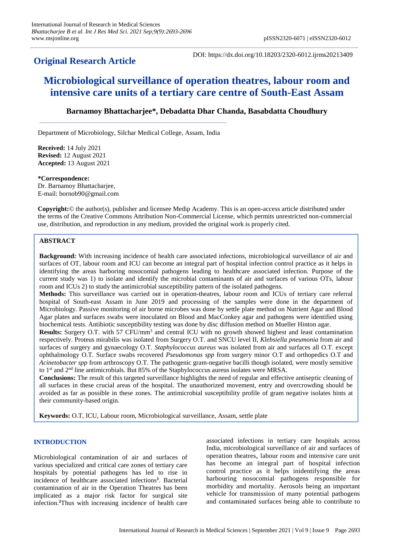## **Original Research Article**

DOI: https://dx.doi.org/10.18203/2320-6012.ijrms20213409

# **Microbiological surveillance of operation theatres, labour room and intensive care units of a tertiary care centre of South-East Assam**

### **Barnamoy Bhattacharjee\*, Debadatta Dhar Chanda, Basabdatta Choudhury**

Department of Microbiology, Silchar Medical College, Assam, India

**Received:** 14 July 2021 **Revised:** 12 August 2021 **Accepted:** 13 August 2021

**\*Correspondence:** Dr. Barnamov Bhattachariee, E-mail: bornob90@gmail.com

**Copyright:**© the author(s), publisher and licensee Medip Academy. This is an open-access article distributed under the terms of the Creative Commons Attribution Non-Commercial License, which permits unrestricted non-commercial use, distribution, and reproduction in any medium, provided the original work is properly cited.

#### **ABSTRACT**

**Background:** With increasing incidence of health care associated infections, microbiological surveillance of air and surfaces of OT, labour room and ICU can become an integral part of hospital infection control practice as it helps in identifying the areas harboring nosocomial pathogens leading to healthcare associated infection. Purpose of the current study was 1) to isolate and identify the microbial contaminants of air and surfaces of various OTs, labour room and ICUs 2) to study the antimicrobial susceptibility pattern of the isolated pathogens.

**Methods:** This surveillance was carried out in operation-theatres, labour room and ICUs of tertiary care referral hospital of South-east Assam in June 2019 and processing of the samples were done in the department of Microbiology. Passive monitoring of air borne microbes was done by settle plate method on Nutrient Agar and Blood Agar plates and surfaces swabs were inoculated on Blood and MacConkey agar and pathogens were identified using biochemical tests. Antibiotic susceptibility testing was done by disc diffusion method on Mueller Hinton agar.

Results: Surgery O.T. with 57 CFU/mm<sup>3</sup> and central ICU with no growth showed highest and least contamination respectively. Proteus mirabilis was isolated from Surgery O.T. and SNCU level II, *Klebsiella pneumonia* from air and surfaces of surgery and gynaecology O.T. *Staphylococcus aureus* was isolated from air and surfaces all O.T. except ophthalmology O.T. Surface swabs recovered *Pseudomonas spp* from surgery minor O.T and orthopedics O.T and *Acinetobacter spp* from arthroscopy O.T. The pathogenic gram-negative bacilli though isolated, were mostly sensitive to 1<sup>st</sup> and 2<sup>nd</sup> line antimicrobials. But 85% of the Staphylococcus aureus isolates were MRSA.

**Conclusions:** The result of this targeted surveillance highlights the need of regular and effective antiseptic cleaning of all surfaces in these crucial areas of the hospital. The unauthorized movement, entry and overcrowding should be avoided as far as possible in these zones. The antimicrobial susceptibility profile of gram negative isolates hints at their community-based origin.

**Keywords:** O.T, ICU, Labour room, Microbiological surveillance, Assam, settle plate

#### **INTRODUCTION**

Microbiological contamination of air and surfaces of various specialized and critical care zones of tertiary care hospitals by potential pathogens has led to rise in incidence of healthcare associated infections**<sup>1</sup>** . Bacterial contamination of air in the Operation Theatres has been implicated as a major risk factor for surgical site infection.**<sup>2</sup>**Thus with increasing incidence of health care associated infections in tertiary care hospitals across India, microbiological surveillance of air and surfaces of operation theatres, labour room and intensive care unit has become an integral part of hospital infection control practice as it helps inidentifying the areas harbouring nosocomial pathogens responsible for morbidity and mortality. Aerosols being an important vehicle for transmission of many potential pathogens and contaminated surfaces being able to contribute to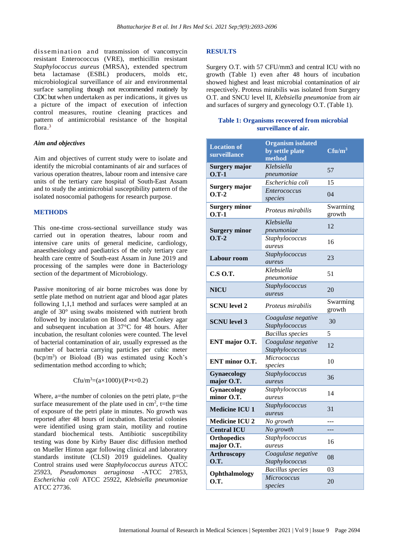dissemination and transmission of vancomycin resistant Enterococcus (VRE), methicillin resistant *Staphylococcus aureus* (MRSA), extended spectrum beta lactamase (ESBL) producers, molds etc, microbiological surveillance of air and environmental surface sampling though not recommended routinely by CDC but when undertaken as per indications, it gives us a picture of the impact of execution of infection control measures, routine cleaning practices and pattern of antimicrobial resistance of the hospital flora. 3

#### *Aim and objectives*

Aim and objectives of current study were to isolate and identify the microbial contaminants of air and surfaces of various operation theatres, labour room and intensive care units of the tertiary care hospital of South-East Assam and to study the antimicrobial susceptibility pattern of the isolated nosocomial pathogens for research purpose.

#### **METHODS**

This one-time cross-sectional surveillance study was carried out in operation theatres, labour room and intensive care units of general medicine, cardiology, anaesthesiology and paediatrics of the only tertiary care health care centre of South-east Assam in June 2019 and processing of the samples were done in Bacteriology section of the department of Microbiology.

Passive monitoring of air borne microbes was done by settle plate method on nutrient agar and blood agar plates following 1,1,1 method and surfaces were sampled at an angle of 30° using swabs moistened with nutrient broth followed by inoculation on Blood and MacConkey agar and subsequent incubation at 37°C for 48 hours. After incubation, the resultant colonies were counted. The level of bacterial contamination of air, usually expressed as the number of bacteria carrying particles per cubic meter (bcp/m<sup>3</sup> ) or Bioload (B) was estimated using Koch's sedimentation method according to which;

 $C$ fu/m<sup>3</sup>=(a×1000)/(P×t×0.2)

Where, a=the number of colonies on the petri plate, p=the surface measurement of the plate used in  $\text{cm}^2$ , t=the time of exposure of the petri plate in minutes. No growth was reported after 48 hours of incubation. Bacterial colonies were identified using gram stain, motility and routine standard biochemical tests. Antibiotic susceptibility testing was done by Kirby Bauer disc diffusion method on Mueller Hinton agar following clinical and laboratory standards institute (CLSI) 2019 guidelines. Quality Control strains used were *Staphylococcus aureus* ATCC 25923, *Pseudomonas aeruginosa* -ATCC 27853, *Escherichia coli* ATCC 25922, *Klebsiella pneumoniae* ATCC 27736.

#### **RESULTS**

Surgery O.T. with 57 CFU/mm3 and central ICU with no growth (Table 1) even after 48 hours of incubation showed highest and least microbial contamination of air respectively. Proteus mirabilis was isolated from Surgery O.T. and SNCU level II, *Klebsiella pneumoniae* from air and surfaces of surgery and gynecology O.T. (Table 1).

#### **Table 1: Organisms recovered from microbial surveillance of air.**

| <b>Location of</b><br>surveillance | <b>Organism isolated</b><br>by settle plate<br>method | $C$ fu/m <sup>3</sup> |
|------------------------------------|-------------------------------------------------------|-----------------------|
| <b>Surgery major</b><br>$0. T-1$   | Klebsiella<br>pneumoniae                              | 57                    |
| Surgery major<br>$O.T-2$           | Escherichia coli                                      | 15                    |
|                                    | <i>Enterococcus</i><br>species                        | 04                    |
| <b>Surgery minor</b><br>$0. T-1$   | <i>Proteus mirabilis</i>                              | Swarming<br>growth    |
| <b>Surgery minor</b><br>$O.T-2$    | Klebsiella                                            | 12                    |
|                                    | pneumoniae                                            |                       |
|                                    | Staphylococcus<br>aureus                              | 16                    |
|                                    | Staphylococcus                                        |                       |
| <b>Labour room</b>                 | aureus                                                | 23                    |
| <b>C.S O.T.</b>                    | Klebsiella                                            | 51                    |
|                                    | pneumoniae                                            |                       |
| <b>NICU</b>                        | Staphylococcus                                        | 20                    |
|                                    | <i>aureus</i>                                         |                       |
| <b>SCNU</b> level 2                | <i>Proteus mirabilis</i>                              | Swarming<br>growth    |
| <b>SCNU</b> level 3                | Coagulase negative<br>Staphylococcus                  | 30                    |
| ENT major O.T.                     | <b>Bacillus</b> species                               | 5                     |
|                                    | Coagulase negative                                    | 12                    |
|                                    | Staphylococcus                                        |                       |
| <b>ENT</b> minor O.T.              | <i>Micrococcus</i>                                    | 10                    |
|                                    | species                                               |                       |
| <b>Gynaecology</b>                 | Staphylococcus                                        | 36                    |
| major O.T.                         | aureus                                                |                       |
| Gynaecology<br>minor O.T.          | Staphylococcus<br>aureus                              | 14                    |
| <b>Medicine ICU 1</b>              | Staphylococcus                                        |                       |
|                                    | aureus                                                | 31                    |
| <b>Medicine ICU 2</b>              | No growth                                             |                       |
| <b>Central ICU</b>                 | No growth                                             |                       |
| <b>Orthopedics</b>                 | Staphylococcus                                        | 16                    |
| major O.T.                         | aureus                                                |                       |
| <b>Arthroscopy</b>                 | Coagulase negative                                    | 08                    |
| <b>O.T.</b>                        | Staphylococcus                                        |                       |
| Ophthalmology<br><b>O.T.</b>       | <b>Bacillus</b> species<br>Micrococcus                | 03                    |
|                                    | species                                               | 20                    |
|                                    |                                                       |                       |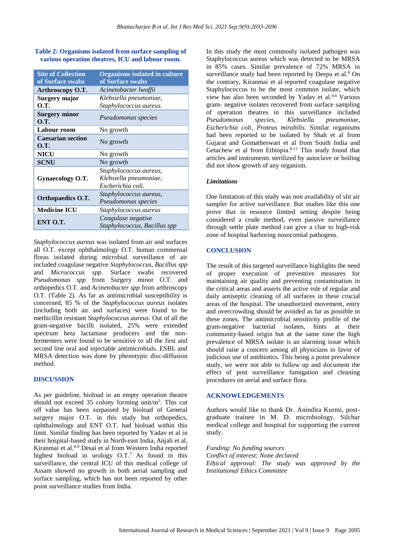#### **Table 2: Organisms isolated from surface sampling of various operation theatres, ICU and labour room.**

| <b>Site of Collection</b><br>of Surface swabs | <b>Organisms isolated in culture</b><br>of Surface swabs |  |
|-----------------------------------------------|----------------------------------------------------------|--|
| Arthroscopy O.T.                              | Acinetobacter lwoffii                                    |  |
| Surgery major                                 | Klebsiella pneumoniae,                                   |  |
| O.T.                                          | Staphylococcus aureus.                                   |  |
| Surgery minor<br><b>O.T.</b>                  | <i>Pseudomonas species</i>                               |  |
| Labour room                                   | No growth                                                |  |
| <b>Caesarian section</b><br>O.T.              | No growth                                                |  |
| <b>NICU</b>                                   | No growth                                                |  |
| <b>SCNU</b>                                   | No growth                                                |  |
|                                               | Staphylococcus aureus,                                   |  |
| Gynaecology O.T.                              | Klebsiella pneumoniae,                                   |  |
|                                               | Escherichia coli.                                        |  |
| <b>Orthopaedics O.T.</b>                      | Staphylococcus aureus,                                   |  |
|                                               | <i>Pseudomonas species</i>                               |  |
| <b>Medicine ICU</b>                           | Staphylococcus aureus                                    |  |
| ENT O.T.                                      | Coagulase negative                                       |  |
|                                               | Staphylococcus, Bacillus spp                             |  |

*Staphylococcus aureus* was isolated from air and surfaces all O.T. except ophthalmology O.T. human commensal floras isolated during microbial surveillance of air included coagulase negative *Staphylococcus, Bacillus spp*  and *Micrococcus spp*. Surface swabs recovered *Pseudomonas spp* from Surgery minor O.T. and orthopedics O.T. and *Acinetobacter spp* from arthroscopy O.T. (Table 2). As far as antimicrobial susceptibility is concerned, 85 % of the *Staphylococcus aureus* isolates (including both air and surfaces) were found to be methicillin resistant *Staphylococcus aureus*. Out of all the gram-negative bacilli isolated, 25% were extended spectrum beta lactamase producers and the nonfermenters were found to be sensitive to all the first and second line oral and injectable antimicrobials. ESBL and MRSA detection was done by phenotypic disc-diffusion method.

#### **DISCUSSION**

As per guideline, bioload in an empty operation theatre should not exceed 35 colony forming unit/ $m<sup>3</sup>$ . This cut off value has been surpassed by bioload of General surgery major O.T. in this study but orthopedics, ophthalmology and ENT O.T. had bioload within this limit. Similar finding has been reported by Yadav et al in their hospital-based study in North-east India, Anjali et al, Kiranmai et al. 4-6 Desai et al from Western India reported highest bioload in urology O.T. <sup>7</sup> As found in this surveillance, the central ICU of this medical college of Assam showed no growth in both aerial sampling and surface sampling, which has not been reported by other point surveillance studies from India.

In this study the most commonly isolated pathogen was Staphylococcus aureus which was detected to be MRSA in 85% cases. Similar prevalence of 72% MRSA in surveillance study had been reported by Deepa et al.<sup>8</sup> On the contrary, Kiranmai et al reported coagulase negative Staphylococcus to be the most common isolate, which view has also been seconded by Yadav et al.4,6 Various gram- negative isolates recovered from surface sampling of operation theatres in this surveillance included *Pseudomonas species, Klebsiella pneumoniae, Escherichia coli*, *Proteus mirabilis*. Similar organisms had been reported to be isolated by Shah et al from Gujarat and Gomatheswari et al from South India and Getachew et al from Ethiopia.8-11 This study found that articles and instruments sterilized by autoclave or boiling did not show growth of any organism.

#### *Limitations*

One limitation of this study was non availability of slit air sampler for active surveillance. But studies like this one prove that in resource limited setting despite being considered a crude method, even passive surveillance through settle plate method can give a clue to high-risk zone of hospital harboring nosocomial pathogens.

#### **CONCLUSION**

The result of this targeted surveillance highlights the need of proper execution of preventive measures for maintaining air quality and preventing contamination in the critical areas and asserts the active role of regular and daily antiseptic cleaning of all surfaces in these crucial areas of the hospital. The unauthorized movement, entry and overcrowding should be avoided as far as possible in these zones. The antimicrobial sensitivity profile of the gram-negative bacterial isolates, hints at their community-based origin but at the same time the high prevalence of MRSA isolate is an alarming issue which should raise a concern among all physicians in favor of judicious use of antibiotics. This being a point prevalence study, we were not able to follow up and document the effect of post surveillance fumigation and cleaning procedures on aerial and surface flora.

#### **ACKNOWLEDGEMENTS**

Authors would like to thank Dr. Anindita Kurmi, postgraduate trainee in M. D. microbiology, Silchar medical college and hospital for supporting the current study.

*Funding: No funding sources Conflict of interest: None declared Ethical approval: The study was approved by the Institutional Ethics Committee*